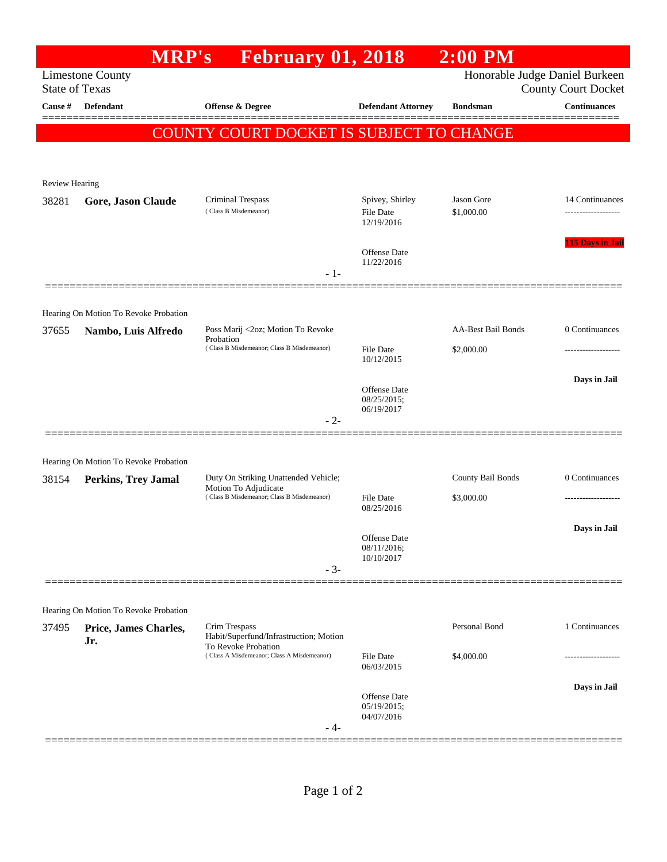| <b>Limestone County</b><br><b>State of Texas</b><br>Cause # | <b>Defendant</b>                                                    | <b>February 01, 2018</b><br><b>Offense &amp; Degree</b>                                                     |                                                   |                           | Honorable Judge Daniel Burkeen<br><b>County Court Docket</b> |
|-------------------------------------------------------------|---------------------------------------------------------------------|-------------------------------------------------------------------------------------------------------------|---------------------------------------------------|---------------------------|--------------------------------------------------------------|
|                                                             |                                                                     |                                                                                                             |                                                   |                           |                                                              |
|                                                             |                                                                     |                                                                                                             | <b>Defendant Attorney</b>                         | <b>Bondsman</b>           | <b>Continuances</b>                                          |
|                                                             |                                                                     | <b>COUNTY COURT DOCKET IS SUBJECT TO CHANGE</b>                                                             |                                                   |                           |                                                              |
|                                                             |                                                                     |                                                                                                             |                                                   |                           |                                                              |
| <b>Review Hearing</b>                                       |                                                                     |                                                                                                             |                                                   |                           |                                                              |
| 38281                                                       | Gore, Jason Claude                                                  | Criminal Trespass<br>(Class B Misdemeanor)                                                                  | Spivey, Shirley<br><b>File Date</b><br>12/19/2016 | Jason Gore<br>\$1,000.00  | 14 Continuances                                              |
|                                                             |                                                                     |                                                                                                             | <b>Offense</b> Date<br>11/22/2016                 |                           | <b>115 Days in Jail</b>                                      |
|                                                             |                                                                     | - 1-                                                                                                        |                                                   |                           |                                                              |
|                                                             |                                                                     |                                                                                                             |                                                   |                           |                                                              |
| 37655                                                       | Hearing On Motion To Revoke Probation                               | Poss Marij <2oz; Motion To Revoke                                                                           |                                                   | <b>AA-Best Bail Bonds</b> | 0 Continuances                                               |
|                                                             | Nambo, Luis Alfredo                                                 | Probation<br>(Class B Misdemeanor; Class B Misdemeanor)                                                     | File Date                                         | \$2,000.00                | .                                                            |
|                                                             |                                                                     |                                                                                                             | 10/12/2015                                        |                           |                                                              |
|                                                             |                                                                     |                                                                                                             | <b>Offense</b> Date                               |                           | Days in Jail                                                 |
|                                                             |                                                                     |                                                                                                             | 08/25/2015;<br>06/19/2017                         |                           |                                                              |
|                                                             |                                                                     | $-2-$                                                                                                       |                                                   |                           |                                                              |
|                                                             |                                                                     |                                                                                                             |                                                   |                           |                                                              |
| 38154                                                       | Hearing On Motion To Revoke Probation<br><b>Perkins, Trey Jamal</b> | Duty On Striking Unattended Vehicle;<br>Motion To Adjudicate<br>(Class B Misdemeanor; Class B Misdemeanor)  |                                                   | County Bail Bonds         | 0 Continuances                                               |
|                                                             |                                                                     |                                                                                                             | File Date                                         | \$3,000.00                | .                                                            |
|                                                             |                                                                     |                                                                                                             | 08/25/2016                                        |                           |                                                              |
|                                                             |                                                                     |                                                                                                             | Offense Date<br>08/11/2016;                       |                           | Days in Jail                                                 |
|                                                             |                                                                     | $-3-$                                                                                                       | 10/10/2017                                        |                           |                                                              |
|                                                             |                                                                     |                                                                                                             |                                                   |                           |                                                              |
|                                                             | Hearing On Motion To Revoke Probation                               |                                                                                                             |                                                   |                           |                                                              |
| 37495                                                       | Price, James Charles,                                               | Crim Trespass                                                                                               |                                                   | Personal Bond             | 1 Continuances                                               |
|                                                             | Jr.                                                                 | Habit/Superfund/Infrastruction; Motion<br>To Revoke Probation<br>(Class A Misdemeanor; Class A Misdemeanor) |                                                   |                           |                                                              |
|                                                             |                                                                     |                                                                                                             | <b>File Date</b><br>06/03/2015                    | \$4,000.00                |                                                              |
|                                                             |                                                                     |                                                                                                             | <b>Offense</b> Date                               |                           | Days in Jail                                                 |
|                                                             |                                                                     |                                                                                                             | 05/19/2015;<br>04/07/2016                         |                           |                                                              |
|                                                             |                                                                     | - 4-                                                                                                        |                                                   |                           |                                                              |